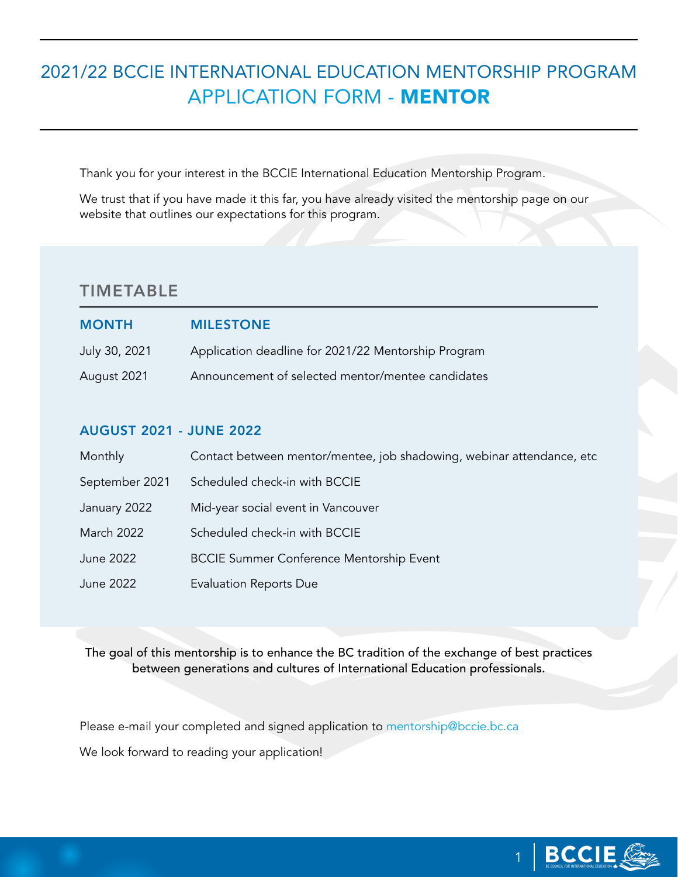# 2021/22 BCCIE INTERNATIONAL EDUCATION MENTORSHIP PROGRAM APPLICATION FORM - MENTOR

Thank you for your interest in the BCCIE International Education Mentorship Program.

We trust that if you have made it this far, you have already visited the mentorship page on our website that outlines our expectations for this program.

### TIMETABLE

| <b>MONTH</b>  | <b>MILESTONE</b>                                    |
|---------------|-----------------------------------------------------|
| July 30, 2021 | Application deadline for 2021/22 Mentorship Program |
| August 2021   | Announcement of selected mentor/mentee candidates   |

#### AUGUST 2021 - JUNE 2022

| Monthly           | Contact between mentor/mentee, job shadowing, webinar attendance, etc |
|-------------------|-----------------------------------------------------------------------|
| September 2021    | Scheduled check-in with BCCIE                                         |
| January 2022      | Mid-year social event in Vancouver                                    |
| <b>March 2022</b> | Scheduled check-in with BCCIE                                         |
| June 2022         | <b>BCCIE Summer Conference Mentorship Event</b>                       |
| June 2022         | <b>Evaluation Reports Due</b>                                         |

The goal of this mentorship is to enhance the BC tradition of the exchange of best practices between generations and cultures of International Education professionals.

Please e-mail your completed and signed application to [mentorship@bccie.bc.ca](mailto:mentorship%40bccie.bc.ca?subject=) We look forward to reading your application!

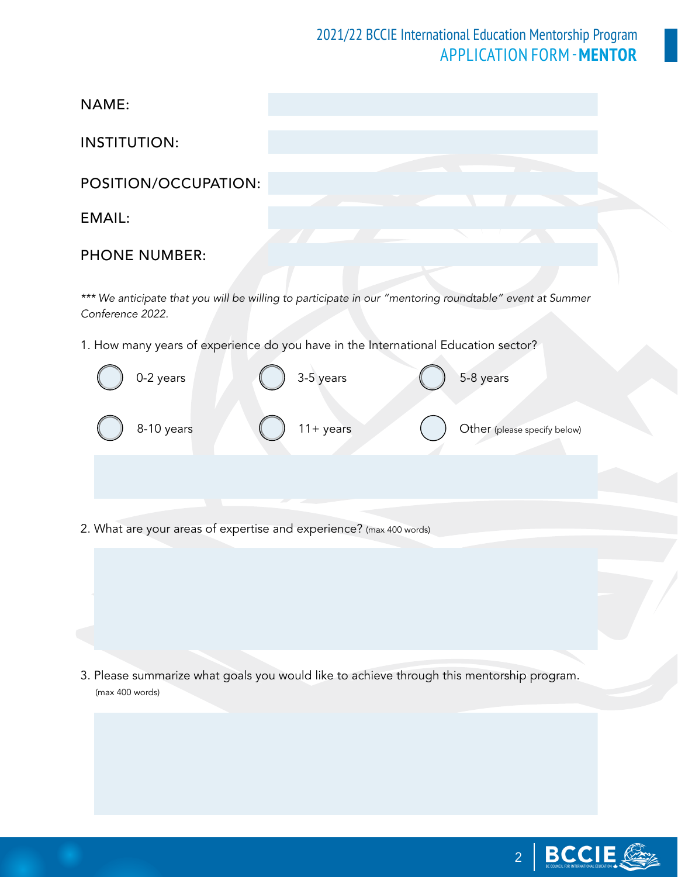## 2021/22 BCCIE International Education Mentorship Program APPLICATION FORM -**MENTOR**

INSTITUTION:

POSITION/OCCUPATION:

### EMAIL:

#### PHONE NUMBER:

*\*\*\* We anticipate that you will be willing to participate in our "mentoring roundtable" event at Summer Conference 2022.*

1. How many years of experience do you have in the International Education sector?



2. What are your areas of expertise and experience? (max 400 words)

3. Please summarize what goals you would like to achieve through this mentorship program. (max 400 words)